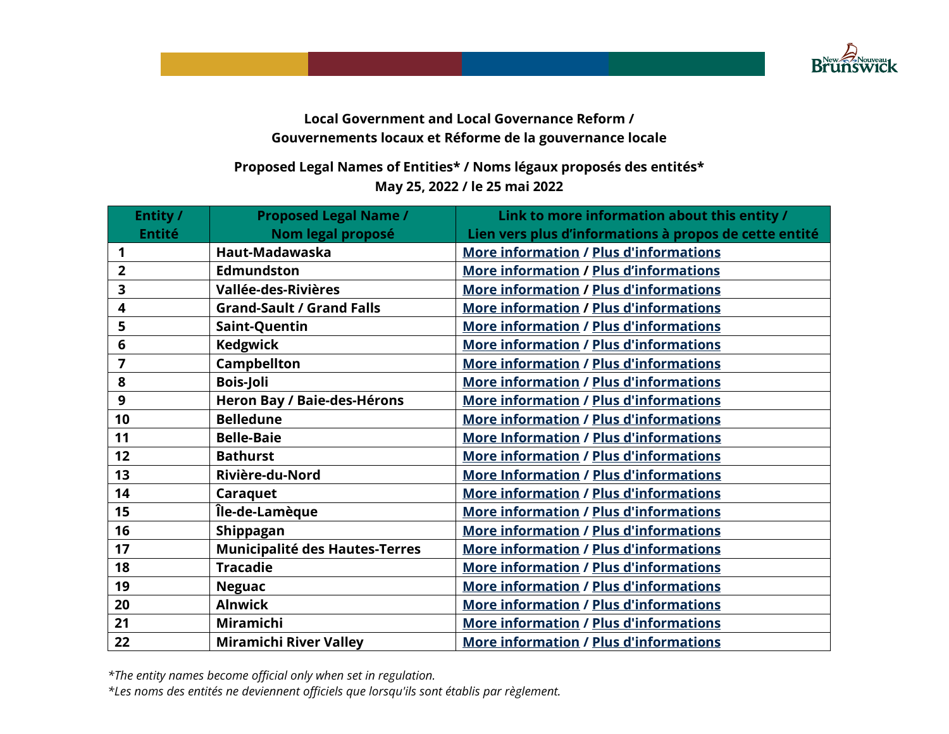

## **Local Government and Local Governance Reform / Gouvernements locaux et Réforme de la gouvernance locale**

## **Proposed Legal Names of Entities\* / Noms légaux proposés des entités\* May 25, 2022 / le 25 mai 2022**

| Entity /       | <b>Proposed Legal Name /</b>          | Link to more information about this entity /           |
|----------------|---------------------------------------|--------------------------------------------------------|
| <b>Entité</b>  | Nom legal proposé                     | Lien vers plus d'informations à propos de cette entité |
| 1              | Haut-Madawaska                        | <b>More information / Plus d'informations</b>          |
| $\overline{2}$ | <b>Edmundston</b>                     | <b>More information / Plus d'informations</b>          |
| 3              | Vallée-des-Rivières                   | <b>More information / Plus d'informations</b>          |
| 4              | <b>Grand-Sault / Grand Falls</b>      | <b>More information / Plus d'informations</b>          |
| 5              | Saint-Quentin                         | <b>More information / Plus d'informations</b>          |
| 6              | <b>Kedgwick</b>                       | <b>More information / Plus d'informations</b>          |
| $\overline{7}$ | <b>Campbellton</b>                    | <b>More information / Plus d'informations</b>          |
| 8              | <b>Bois-Joli</b>                      | <b>More information / Plus d'informations</b>          |
| 9              | Heron Bay / Baie-des-Hérons           | <b>More information / Plus d'informations</b>          |
| 10             | <b>Belledune</b>                      | <b>More information / Plus d'informations</b>          |
| 11             | <b>Belle-Baie</b>                     | <b>More Information / Plus d'informations</b>          |
| 12             | <b>Bathurst</b>                       | <b>More information / Plus d'informations</b>          |
| 13             | Rivière-du-Nord                       | <b>More Information / Plus d'informations</b>          |
| 14             | Caraquet                              | <b>More information / Plus d'informations</b>          |
| 15             | Île-de-Lamèque                        | <b>More information / Plus d'informations</b>          |
| 16             | Shippagan                             | <b>More information / Plus d'informations</b>          |
| 17             | <b>Municipalité des Hautes-Terres</b> | <b>More information / Plus d'informations</b>          |
| 18             | <b>Tracadie</b>                       | <b>More information / Plus d'informations</b>          |
| 19             | <b>Neguac</b>                         | <b>More information / Plus d'informations</b>          |
| 20             | <b>Alnwick</b>                        | <b>More information / Plus d'informations</b>          |
| 21             | Miramichi                             | <b>More information / Plus d'informations</b>          |
| 22             | <b>Miramichi River Valley</b>         | <b>More information / Plus d'informations</b>          |

*\*The entity names become official only when set in regulation.*

*\*Les noms des entités ne deviennent officiels que lorsqu'ils sont établis par règlement.*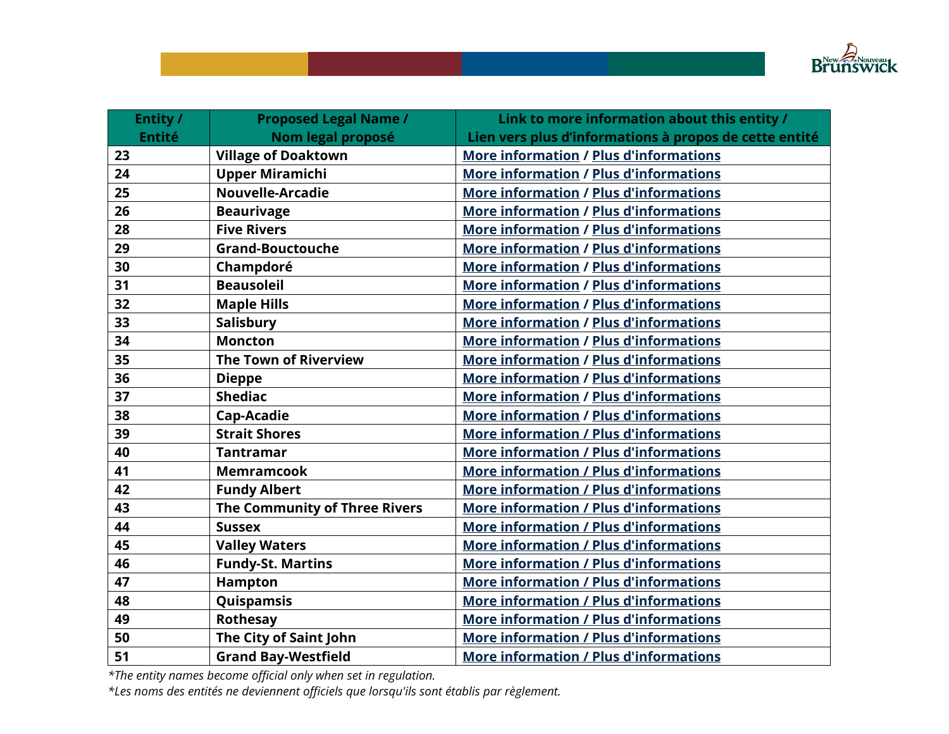

| Entity /      | <b>Proposed Legal Name /</b>  | Link to more information about this entity /           |
|---------------|-------------------------------|--------------------------------------------------------|
| <b>Entité</b> | Nom legal proposé             | Lien vers plus d'informations à propos de cette entité |
| 23            | <b>Village of Doaktown</b>    | <b>More information / Plus d'informations</b>          |
| 24            | <b>Upper Miramichi</b>        | <b>More information / Plus d'informations</b>          |
| 25            | <b>Nouvelle-Arcadie</b>       | <b>More information / Plus d'informations</b>          |
| 26            | <b>Beaurivage</b>             | <b>More information / Plus d'informations</b>          |
| 28            | <b>Five Rivers</b>            | <b>More information / Plus d'informations</b>          |
| 29            | <b>Grand-Bouctouche</b>       | <b>More information / Plus d'informations</b>          |
| 30            | Champdoré                     | <b>More information / Plus d'informations</b>          |
| 31            | <b>Beausoleil</b>             | <b>More information / Plus d'informations</b>          |
| 32            | <b>Maple Hills</b>            | <b>More information / Plus d'informations</b>          |
| 33            | Salisbury                     | <b>More information / Plus d'informations</b>          |
| 34            | <b>Moncton</b>                | <b>More information / Plus d'informations</b>          |
| 35            | <b>The Town of Riverview</b>  | <b>More information / Plus d'informations</b>          |
| 36            | <b>Dieppe</b>                 | <b>More information / Plus d'informations</b>          |
| 37            | <b>Shediac</b>                | <b>More information / Plus d'informations</b>          |
| 38            | Cap-Acadie                    | <b>More information / Plus d'informations</b>          |
| 39            | <b>Strait Shores</b>          | <b>More information / Plus d'informations</b>          |
| 40            | <b>Tantramar</b>              | <b>More information / Plus d'informations</b>          |
| 41            | <b>Memramcook</b>             | <b>More information / Plus d'informations</b>          |
| 42            | <b>Fundy Albert</b>           | <b>More information / Plus d'informations</b>          |
| 43            | The Community of Three Rivers | <b>More information / Plus d'informations</b>          |
| 44            | <b>Sussex</b>                 | <b>More information / Plus d'informations</b>          |
| 45            | <b>Valley Waters</b>          | <b>More information / Plus d'informations</b>          |
| 46            | <b>Fundy-St. Martins</b>      | <b>More information / Plus d'informations</b>          |
| 47            | Hampton                       | <b>More information / Plus d'informations</b>          |
| 48            | Quispamsis                    | <b>More information / Plus d'informations</b>          |
| 49            | <b>Rothesay</b>               | <b>More information / Plus d'informations</b>          |
| 50            | The City of Saint John        | <b>More information / Plus d'informations</b>          |
| 51            | <b>Grand Bay-Westfield</b>    | <b>More information / Plus d'informations</b>          |

*\*The entity names become official only when set in regulation.*

*\*Les noms des entités ne deviennent officiels que lorsqu'ils sont établis par règlement.*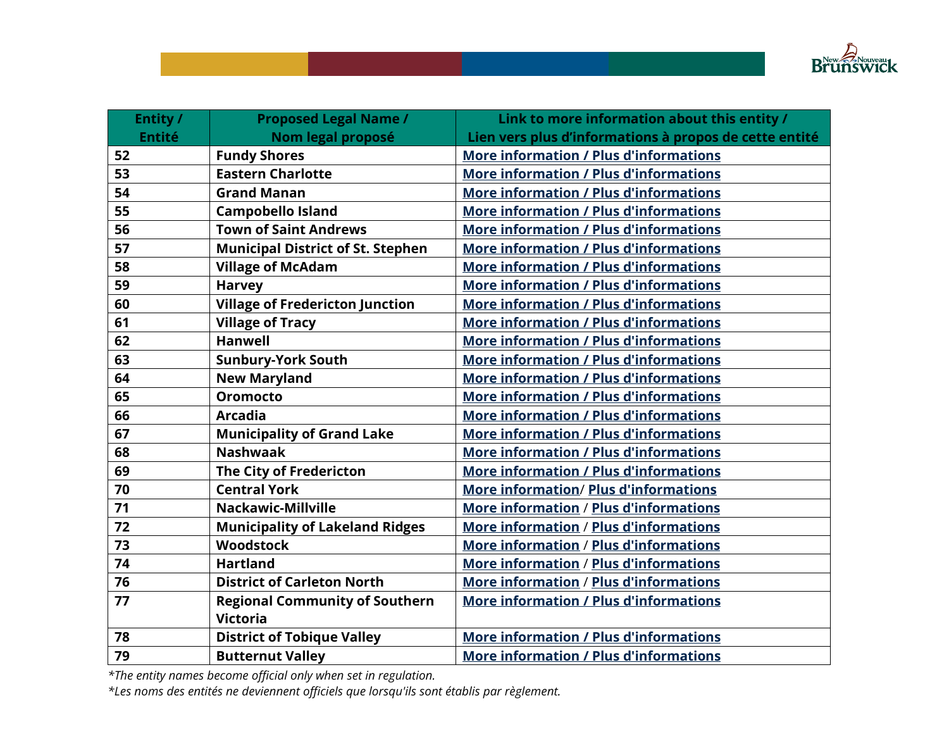

| Entity /      | <b>Proposed Legal Name /</b>             | Link to more information about this entity /           |
|---------------|------------------------------------------|--------------------------------------------------------|
| <b>Entité</b> | Nom legal proposé                        | Lien vers plus d'informations à propos de cette entité |
| 52            | <b>Fundy Shores</b>                      | <b>More information / Plus d'informations</b>          |
| 53            | <b>Eastern Charlotte</b>                 | <b>More information / Plus d'informations</b>          |
| 54            | <b>Grand Manan</b>                       | <b>More information / Plus d'informations</b>          |
| 55            | <b>Campobello Island</b>                 | <b>More information / Plus d'informations</b>          |
| 56            | <b>Town of Saint Andrews</b>             | <b>More information / Plus d'informations</b>          |
| 57            | <b>Municipal District of St. Stephen</b> | <b>More information / Plus d'informations</b>          |
| 58            | <b>Village of McAdam</b>                 | <b>More information / Plus d'informations</b>          |
| 59            | <b>Harvey</b>                            | <b>More information / Plus d'informations</b>          |
| 60            | <b>Village of Fredericton Junction</b>   | <b>More information / Plus d'informations</b>          |
| 61            | <b>Village of Tracy</b>                  | <b>More information / Plus d'informations</b>          |
| 62            | <b>Hanwell</b>                           | <b>More information / Plus d'informations</b>          |
| 63            | <b>Sunbury-York South</b>                | <b>More information / Plus d'informations</b>          |
| 64            | <b>New Maryland</b>                      | <b>More information / Plus d'informations</b>          |
| 65            | <b>Oromocto</b>                          | <b>More information / Plus d'informations</b>          |
| 66            | <b>Arcadia</b>                           | <b>More information / Plus d'informations</b>          |
| 67            | <b>Municipality of Grand Lake</b>        | <b>More information / Plus d'informations</b>          |
| 68            | <b>Nashwaak</b>                          | <b>More information / Plus d'informations</b>          |
| 69            | <b>The City of Fredericton</b>           | <b>More information / Plus d'informations</b>          |
| 70            | <b>Central York</b>                      | <b>More information/ Plus d'informations</b>           |
| 71            | <b>Nackawic-Millville</b>                | More information / Plus d'informations                 |
| 72            | <b>Municipality of Lakeland Ridges</b>   | <b>More information / Plus d'informations</b>          |
| 73            | Woodstock                                | <b>More information / Plus d'informations</b>          |
| 74            | <b>Hartland</b>                          | <b>More information / Plus d'informations</b>          |
| 76            | <b>District of Carleton North</b>        | More information / Plus d'informations                 |
| 77            | <b>Regional Community of Southern</b>    | <b>More information / Plus d'informations</b>          |
|               | <b>Victoria</b>                          |                                                        |
| 78            | <b>District of Tobique Valley</b>        | <b>More information / Plus d'informations</b>          |
| 79            | <b>Butternut Valley</b>                  | <b>More information / Plus d'informations</b>          |

*\*The entity names become official only when set in regulation.*

*\*Les noms des entités ne deviennent officiels que lorsqu'ils sont établis par règlement.*